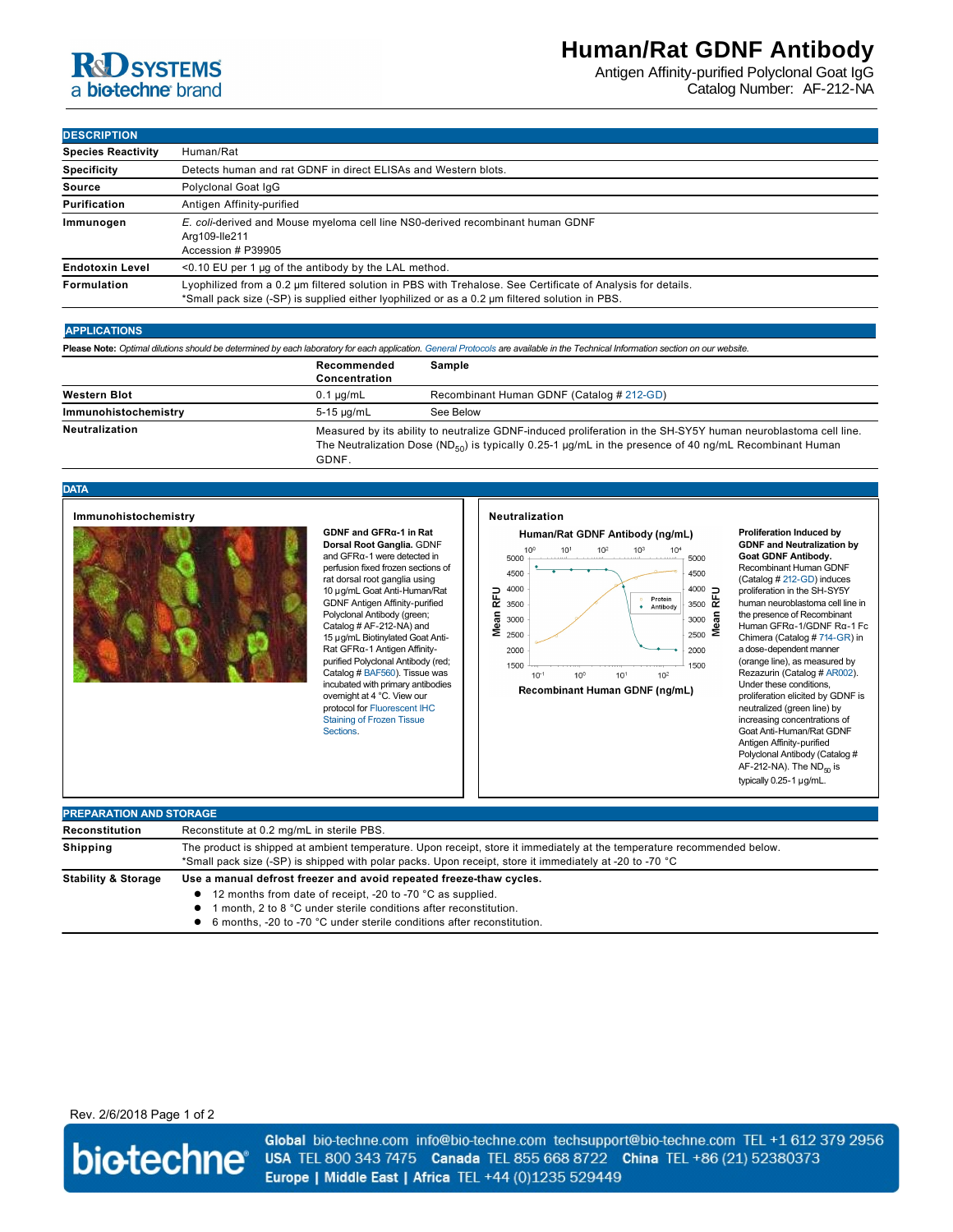# **R&D SYSTEMS** a biotechne brand

Antigen Affinity-purified Polyclonal Goat IgG Catalog Number: AF-212-NA

### **DESCRIPTION**

| <b>Species Reactivity</b> | Human/Rat                                                                                                                                                                                                     |  |  |
|---------------------------|---------------------------------------------------------------------------------------------------------------------------------------------------------------------------------------------------------------|--|--|
| <b>Specificity</b>        | Detects human and rat GDNF in direct ELISAs and Western blots.                                                                                                                                                |  |  |
| Source                    | Polyclonal Goat IqG                                                                                                                                                                                           |  |  |
| Purification              | Antigen Affinity-purified                                                                                                                                                                                     |  |  |
| Immunogen                 | E. coli-derived and Mouse myeloma cell line NS0-derived recombinant human GDNF<br>Arg109-lle211<br>Accession # P39905                                                                                         |  |  |
| <b>Endotoxin Level</b>    | $\leq$ 0.10 EU per 1 µg of the antibody by the LAL method.                                                                                                                                                    |  |  |
| Formulation               | Lyophilized from a 0.2 µm filtered solution in PBS with Trehalose. See Certificate of Analysis for details.<br>*Small pack size (-SP) is supplied either lyophilized or as a 0.2 µm filtered solution in PBS. |  |  |

#### **APPLICATIONS**

**Please Note:** *Optimal dilutions should be determined by each laboratory for each application. [General Protocols](http://www.rndsystems.com/resources/protocols-troubleshooting-guides) are available in the Technical Information section on our website.*

|                      | Recommended<br>Concentration | Sample                                                                                                                                                                                                                                     |
|----------------------|------------------------------|--------------------------------------------------------------------------------------------------------------------------------------------------------------------------------------------------------------------------------------------|
| <b>Western Blot</b>  | $0.1 \mu$ g/mL               | Recombinant Human GDNF (Catalog # 212-GD)                                                                                                                                                                                                  |
| Immunohistochemistry | 5-15 ua/mL                   | See Below                                                                                                                                                                                                                                  |
| Neutralization       |                              | Measured by its ability to neutralize GDNF-induced proliferation in the SH-SY5Y human neuroblastoma cell line.<br>The Neutralization Dose (ND <sub>50</sub> ) is typically 0.25-1 $\mu$ g/mL in the presence of 40 ng/mL Recombinant Human |

GDNF.

#### **DATA**



#### **GDNF and GFRα1 in Rat Dorsal Root Ganglia.** GDNF and GFRα-1 were detected in perfusion fixed frozen sections of rat dorsal root ganglia using 10 µg/mL Goat Anti-Human/Rat GDNF Antigen Affinity-purified Polyclonal Antibody (green; Catalog # AF-212-NA) and 15 µg/mL Biotinylated Goat Anti-Rat GFRα-1 Antigen Affinitypurified Polyclonal Antibody (red; Catalog # [BAF560](http://www.rndsystems.com/search?keywords=BAF560)). Tissue was incubated with primary antibodies overnight at 4 °C. View our [protocol for Fluorescent IHC](https://www.rndsystems.com/resources/protocols/protocol-preparation-and-fluorescent-ihc-staining-frozen-tissue-sections)  Staining of Frozen Tissue Sections.





**Proliferation Induced by GDNF and Neutralization by Goat GDNF Antibody.** Recombinant Human GDNF (Catalog # 212-GD) induces proliferation in the SH-SY5Y human neuroblastoma cell line in the presence of Recombinant Human GFRα-1/GDNF Rα-1 Fc Chimera (Catalog # 714-GR) in a dose-dependent manner (orange line), as measured by Rezazurin (Catalog # [AR002](http://www.rndsystems.com/search?keywords=AR002)). Under these conditions, proliferation elicited by GDNF is neutralized (green line) by increasing concentrations of Goat Anti-Human/Rat GDNF Antigen Affinity-purified Polyclonal Antibody (Catalog # AF-212-NA). The  $\overline{\text{ND}}_{50}$  is typically 0.25-1 μg/mL.

| <b>PREPARATION AND STORAGE</b> |                                                                                                                                                                                                                                    |  |  |
|--------------------------------|------------------------------------------------------------------------------------------------------------------------------------------------------------------------------------------------------------------------------------|--|--|
| <b>Reconstitution</b>          | Reconstitute at 0.2 mg/mL in sterile PBS.                                                                                                                                                                                          |  |  |
| <b>Shipping</b>                | The product is shipped at ambient temperature. Upon receipt, store it immediately at the temperature recommended below.<br>*Small pack size (-SP) is shipped with polar packs. Upon receipt, store it immediately at -20 to -70 °C |  |  |
| <b>Stability &amp; Storage</b> | Use a manual defrost freezer and avoid repeated freeze-thaw cycles.                                                                                                                                                                |  |  |
|                                | • 12 months from date of receipt, -20 to -70 °C as supplied.                                                                                                                                                                       |  |  |
|                                | 1 month, 2 to 8 °C under sterile conditions after reconstitution.                                                                                                                                                                  |  |  |
|                                | • 6 months. -20 to -70 °C under sterile conditions after reconstitution.                                                                                                                                                           |  |  |
|                                |                                                                                                                                                                                                                                    |  |  |

## Rev. 2/6/2018 Page 1 of 2



Global bio-techne.com info@bio-techne.com techsupport@bio-techne.com TEL +1 612 379 2956 USA TEL 800 343 7475 Canada TEL 855 668 8722 China TEL +86 (21) 52380373 Europe | Middle East | Africa TEL +44 (0)1235 529449